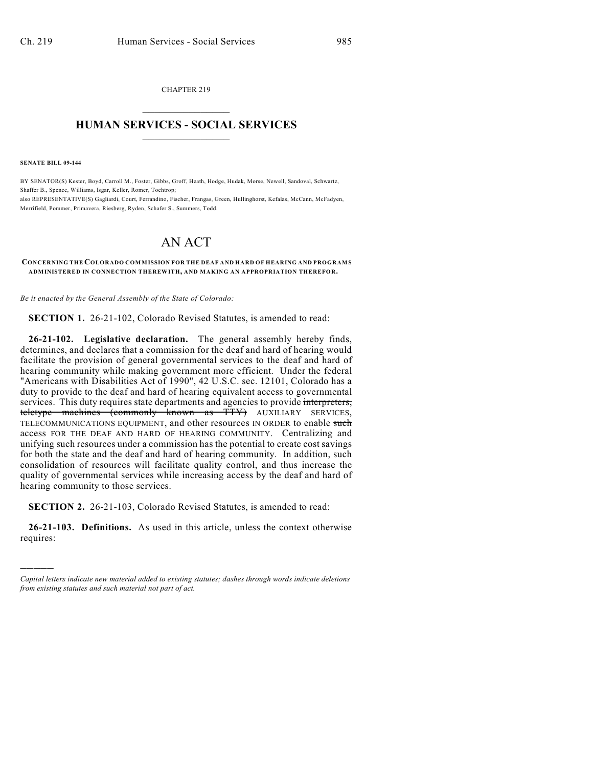CHAPTER 219  $\mathcal{L}_\text{max}$  . The set of the set of the set of the set of the set of the set of the set of the set of the set of the set of the set of the set of the set of the set of the set of the set of the set of the set of the set

## **HUMAN SERVICES - SOCIAL SERVICES**  $\frac{1}{2}$  ,  $\frac{1}{2}$  ,  $\frac{1}{2}$  ,  $\frac{1}{2}$  ,  $\frac{1}{2}$  ,  $\frac{1}{2}$  ,  $\frac{1}{2}$

**SENATE BILL 09-144**

)))))

BY SENATOR(S) Kester, Boyd, Carroll M., Foster, Gibbs, Groff, Heath, Hodge, Hudak, Morse, Newell, Sandoval, Schwartz, Shaffer B., Spence, Williams, Isgar, Keller, Romer, Tochtrop; also REPRESENTATIVE(S) Gagliardi, Court, Ferrandino, Fischer, Frangas, Green, Hullinghorst, Kefalas, McCann, McFadyen, Merrifield, Pommer, Primavera, Riesberg, Ryden, Schafer S., Summers, Todd.

## AN ACT

**CONCERNING THE COLORADO COMMISSION FOR THE DEAF AND HARD OF HEARING AND PROGRAM S ADMINISTERED IN CONNECTION THEREWITH, AND MAKING AN APPROPRIATION THEREFOR.**

*Be it enacted by the General Assembly of the State of Colorado:*

**SECTION 1.** 26-21-102, Colorado Revised Statutes, is amended to read:

**26-21-102. Legislative declaration.** The general assembly hereby finds, determines, and declares that a commission for the deaf and hard of hearing would facilitate the provision of general governmental services to the deaf and hard of hearing community while making government more efficient. Under the federal "Americans with Disabilities Act of 1990", 42 U.S.C. sec. 12101, Colorado has a duty to provide to the deaf and hard of hearing equivalent access to governmental services. This duty requires state departments and agencies to provide interpreters, teletype machines (commonly known as TTY) AUXILIARY SERVICES, TELECOMMUNICATIONS EQUIPMENT, and other resources IN ORDER to enable such access FOR THE DEAF AND HARD OF HEARING COMMUNITY. Centralizing and unifying such resources under a commission has the potential to create cost savings for both the state and the deaf and hard of hearing community. In addition, such consolidation of resources will facilitate quality control, and thus increase the quality of governmental services while increasing access by the deaf and hard of hearing community to those services.

**SECTION 2.** 26-21-103, Colorado Revised Statutes, is amended to read:

**26-21-103. Definitions.** As used in this article, unless the context otherwise requires:

*Capital letters indicate new material added to existing statutes; dashes through words indicate deletions from existing statutes and such material not part of act.*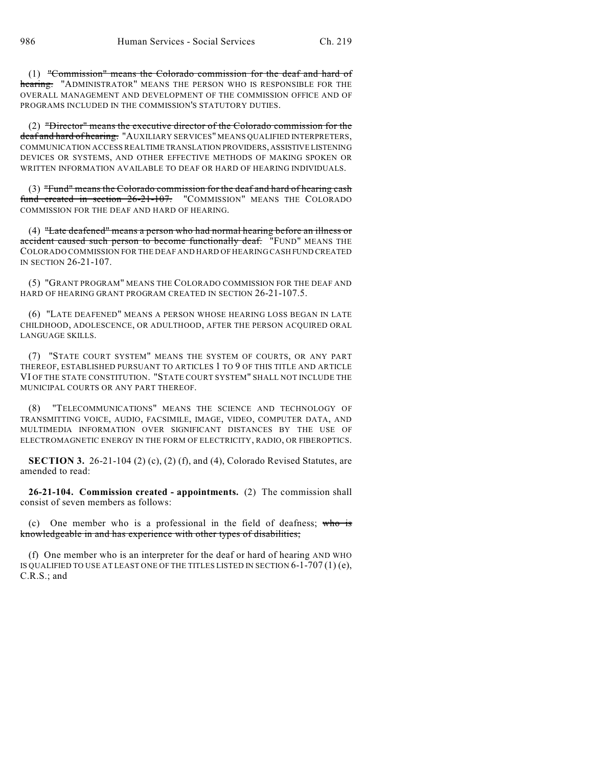(1) "Commission" means the Colorado commission for the deaf and hard of hearing. "ADMINISTRATOR" MEANS THE PERSON WHO IS RESPONSIBLE FOR THE OVERALL MANAGEMENT AND DEVELOPMENT OF THE COMMISSION OFFICE AND OF PROGRAMS INCLUDED IN THE COMMISSION'S STATUTORY DUTIES.

(2) "Director" means the executive director of the Colorado commission for the deaf and hard of hearing. "AUXILIARY SERVICES" MEANS QUALIFIED INTERPRETERS, COMMUNICATION ACCESS REALTIME TRANSLATION PROVIDERS, ASSISTIVE LISTENING DEVICES OR SYSTEMS, AND OTHER EFFECTIVE METHODS OF MAKING SPOKEN OR WRITTEN INFORMATION AVAILABLE TO DEAF OR HARD OF HEARING INDIVIDUALS.

(3) "Fund" means the Colorado commission for the deaf and hard of hearing cash fund created in section 26-21-107. "COMMISSION" MEANS THE COLORADO COMMISSION FOR THE DEAF AND HARD OF HEARING.

(4) "Late deafened" means a person who had normal hearing before an illness or accident caused such person to become functionally deaf. "FUND" MEANS THE COLORADO COMMISSION FOR THE DEAF AND HARD OF HEARING CASH FUND CREATED IN SECTION 26-21-107.

(5) "GRANT PROGRAM" MEANS THE COLORADO COMMISSION FOR THE DEAF AND HARD OF HEARING GRANT PROGRAM CREATED IN SECTION 26-21-107.5.

(6) "LATE DEAFENED" MEANS A PERSON WHOSE HEARING LOSS BEGAN IN LATE CHILDHOOD, ADOLESCENCE, OR ADULTHOOD, AFTER THE PERSON ACQUIRED ORAL LANGUAGE SKILLS.

(7) "STATE COURT SYSTEM" MEANS THE SYSTEM OF COURTS, OR ANY PART THEREOF, ESTABLISHED PURSUANT TO ARTICLES 1 TO 9 OF THIS TITLE AND ARTICLE VI OF THE STATE CONSTITUTION. "STATE COURT SYSTEM" SHALL NOT INCLUDE THE MUNICIPAL COURTS OR ANY PART THEREOF.

(8) "TELECOMMUNICATIONS" MEANS THE SCIENCE AND TECHNOLOGY OF TRANSMITTING VOICE, AUDIO, FACSIMILE, IMAGE, VIDEO, COMPUTER DATA, AND MULTIMEDIA INFORMATION OVER SIGNIFICANT DISTANCES BY THE USE OF ELECTROMAGNETIC ENERGY IN THE FORM OF ELECTRICITY, RADIO, OR FIBEROPTICS.

**SECTION 3.** 26-21-104 (2) (c), (2) (f), and (4), Colorado Revised Statutes, are amended to read:

**26-21-104. Commission created - appointments.** (2) The commission shall consist of seven members as follows:

(c) One member who is a professional in the field of deafness; who is knowledgeable in and has experience with other types of disabilities;

(f) One member who is an interpreter for the deaf or hard of hearing AND WHO IS QUALIFIED TO USE AT LEAST ONE OF THE TITLES LISTED IN SECTION  $6-1-707(1)(e)$ , C.R.S.; and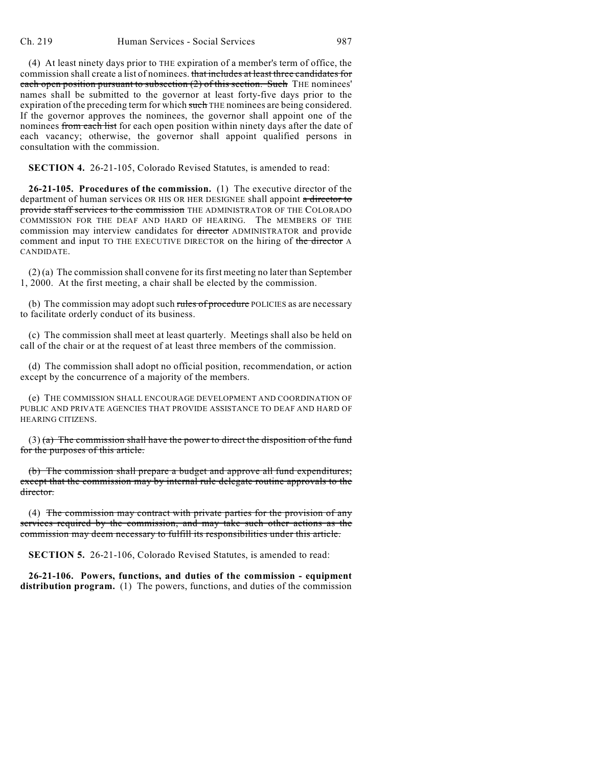(4) At least ninety days prior to THE expiration of a member's term of office, the commission shall create a list of nominees. that includes at least three candidates for each open position pursuant to subsection  $(2)$  of this section. Such THE nominees' names shall be submitted to the governor at least forty-five days prior to the expiration of the preceding term for which such THE nominees are being considered. If the governor approves the nominees, the governor shall appoint one of the nominees from each list for each open position within ninety days after the date of each vacancy; otherwise, the governor shall appoint qualified persons in consultation with the commission.

**SECTION 4.** 26-21-105, Colorado Revised Statutes, is amended to read:

**26-21-105. Procedures of the commission.** (1) The executive director of the department of human services OR HIS OR HER DESIGNEE shall appoint a director to provide staff services to the commission THE ADMINISTRATOR OF THE COLORADO COMMISSION FOR THE DEAF AND HARD OF HEARING. The MEMBERS OF THE commission may interview candidates for director ADMINISTRATOR and provide comment and input TO THE EXECUTIVE DIRECTOR on the hiring of the director A CANDIDATE.

(2) (a) The commission shall convene for its first meeting no later than September 1, 2000. At the first meeting, a chair shall be elected by the commission.

(b) The commission may adopt such rules of procedure POLICIES as are necessary to facilitate orderly conduct of its business.

(c) The commission shall meet at least quarterly. Meetings shall also be held on call of the chair or at the request of at least three members of the commission.

(d) The commission shall adopt no official position, recommendation, or action except by the concurrence of a majority of the members.

(e) THE COMMISSION SHALL ENCOURAGE DEVELOPMENT AND COORDINATION OF PUBLIC AND PRIVATE AGENCIES THAT PROVIDE ASSISTANCE TO DEAF AND HARD OF HEARING CITIZENS.

 $(3)$  (a) The commission shall have the power to direct the disposition of the fund for the purposes of this article.

(b) The commission shall prepare a budget and approve all fund expenditures; except that the commission may by internal rule delegate routine approvals to the director.

(4) The commission may contract with private parties for the provision of any services required by the commission, and may take such other actions as the commission may deem necessary to fulfill its responsibilities under this article.

**SECTION 5.** 26-21-106, Colorado Revised Statutes, is amended to read:

**26-21-106. Powers, functions, and duties of the commission - equipment distribution program.** (1) The powers, functions, and duties of the commission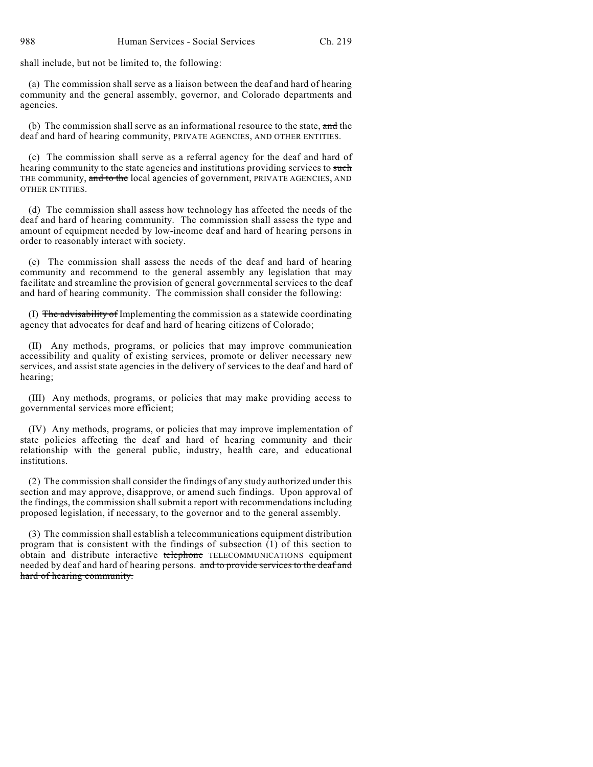shall include, but not be limited to, the following:

(a) The commission shall serve as a liaison between the deaf and hard of hearing community and the general assembly, governor, and Colorado departments and agencies.

(b) The commission shall serve as an informational resource to the state, and the deaf and hard of hearing community, PRIVATE AGENCIES, AND OTHER ENTITIES.

(c) The commission shall serve as a referral agency for the deaf and hard of hearing community to the state agencies and institutions providing services to such THE community, and to the local agencies of government, PRIVATE AGENCIES, AND OTHER ENTITIES.

(d) The commission shall assess how technology has affected the needs of the deaf and hard of hearing community. The commission shall assess the type and amount of equipment needed by low-income deaf and hard of hearing persons in order to reasonably interact with society.

(e) The commission shall assess the needs of the deaf and hard of hearing community and recommend to the general assembly any legislation that may facilitate and streamline the provision of general governmental services to the deaf and hard of hearing community. The commission shall consider the following:

(I) The advisability of Implementing the commission as a statewide coordinating agency that advocates for deaf and hard of hearing citizens of Colorado;

(II) Any methods, programs, or policies that may improve communication accessibility and quality of existing services, promote or deliver necessary new services, and assist state agencies in the delivery of services to the deaf and hard of hearing;

(III) Any methods, programs, or policies that may make providing access to governmental services more efficient;

(IV) Any methods, programs, or policies that may improve implementation of state policies affecting the deaf and hard of hearing community and their relationship with the general public, industry, health care, and educational institutions.

(2) The commission shall consider the findings of any study authorized under this section and may approve, disapprove, or amend such findings. Upon approval of the findings, the commission shall submit a report with recommendations including proposed legislation, if necessary, to the governor and to the general assembly.

(3) The commission shall establish a telecommunications equipment distribution program that is consistent with the findings of subsection  $(1)$  of this section to obtain and distribute interactive telephone TELECOMMUNICATIONS equipment needed by deaf and hard of hearing persons. and to provide services to the deaf and hard of hearing community.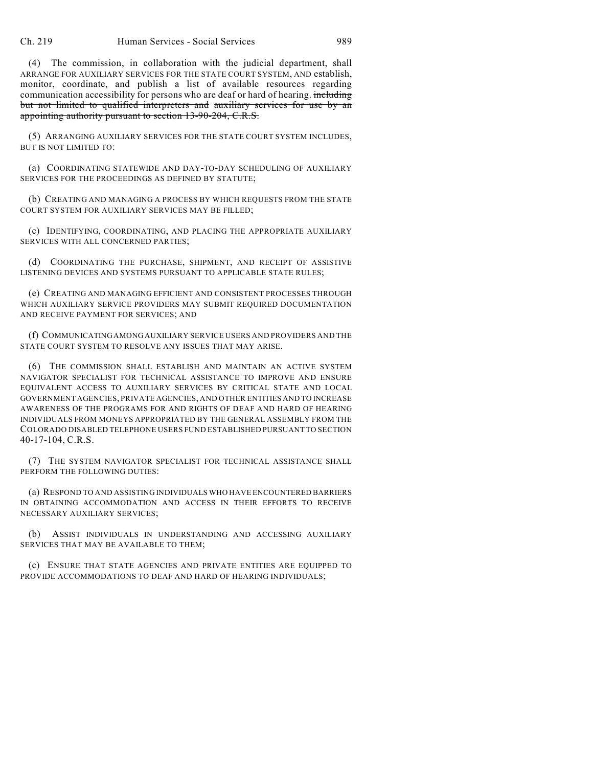(4) The commission, in collaboration with the judicial department, shall ARRANGE FOR AUXILIARY SERVICES FOR THE STATE COURT SYSTEM, AND establish, monitor, coordinate, and publish a list of available resources regarding communication accessibility for persons who are deaf or hard of hearing. including but not limited to qualified interpreters and auxiliary services for use by an appointing authority pursuant to section 13-90-204, C.R.S.

(5) ARRANGING AUXILIARY SERVICES FOR THE STATE COURT SYSTEM INCLUDES, BUT IS NOT LIMITED TO:

(a) COORDINATING STATEWIDE AND DAY-TO-DAY SCHEDULING OF AUXILIARY SERVICES FOR THE PROCEEDINGS AS DEFINED BY STATUTE;

(b) CREATING AND MANAGING A PROCESS BY WHICH REQUESTS FROM THE STATE COURT SYSTEM FOR AUXILIARY SERVICES MAY BE FILLED;

(c) IDENTIFYING, COORDINATING, AND PLACING THE APPROPRIATE AUXILIARY SERVICES WITH ALL CONCERNED PARTIES;

(d) COORDINATING THE PURCHASE, SHIPMENT, AND RECEIPT OF ASSISTIVE LISTENING DEVICES AND SYSTEMS PURSUANT TO APPLICABLE STATE RULES;

(e) CREATING AND MANAGING EFFICIENT AND CONSISTENT PROCESSES THROUGH WHICH AUXILIARY SERVICE PROVIDERS MAY SUBMIT REQUIRED DOCUMENTATION AND RECEIVE PAYMENT FOR SERVICES; AND

(f) COMMUNICATING AMONG AUXILIARY SERVICE USERS AND PROVIDERS AND THE STATE COURT SYSTEM TO RESOLVE ANY ISSUES THAT MAY ARISE.

(6) THE COMMISSION SHALL ESTABLISH AND MAINTAIN AN ACTIVE SYSTEM NAVIGATOR SPECIALIST FOR TECHNICAL ASSISTANCE TO IMPROVE AND ENSURE EQUIVALENT ACCESS TO AUXILIARY SERVICES BY CRITICAL STATE AND LOCAL GOVERNMENT AGENCIES, PRIVATE AGENCIES, AND OTHER ENTITIES AND TO INCREASE AWARENESS OF THE PROGRAMS FOR AND RIGHTS OF DEAF AND HARD OF HEARING INDIVIDUALS FROM MONEYS APPROPRIATED BY THE GENERAL ASSEMBLY FROM THE COLORADO DISABLED TELEPHONE USERS FUND ESTABLISHED PURSUANT TO SECTION 40-17-104, C.R.S.

(7) THE SYSTEM NAVIGATOR SPECIALIST FOR TECHNICAL ASSISTANCE SHALL PERFORM THE FOLLOWING DUTIES:

(a) RESPOND TO AND ASSISTING INDIVIDUALS WHO HAVE ENCOUNTERED BARRIERS IN OBTAINING ACCOMMODATION AND ACCESS IN THEIR EFFORTS TO RECEIVE NECESSARY AUXILIARY SERVICES;

(b) ASSIST INDIVIDUALS IN UNDERSTANDING AND ACCESSING AUXILIARY SERVICES THAT MAY BE AVAILABLE TO THEM;

(c) ENSURE THAT STATE AGENCIES AND PRIVATE ENTITIES ARE EQUIPPED TO PROVIDE ACCOMMODATIONS TO DEAF AND HARD OF HEARING INDIVIDUALS;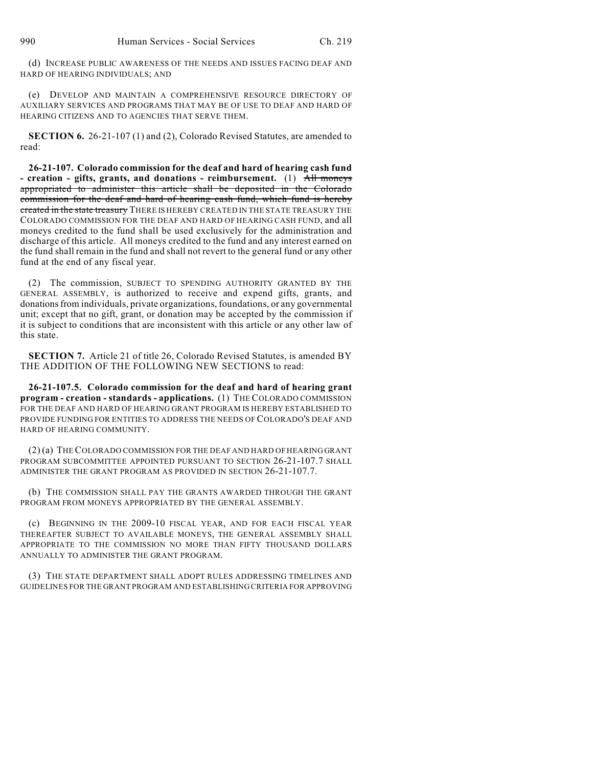(d) INCREASE PUBLIC AWARENESS OF THE NEEDS AND ISSUES FACING DEAF AND HARD OF HEARING INDIVIDUALS; AND

(e) DEVELOP AND MAINTAIN A COMPREHENSIVE RESOURCE DIRECTORY OF AUXILIARY SERVICES AND PROGRAMS THAT MAY BE OF USE TO DEAF AND HARD OF HEARING CITIZENS AND TO AGENCIES THAT SERVE THEM.

**SECTION 6.** 26-21-107 (1) and (2), Colorado Revised Statutes, are amended to read:

**26-21-107. Colorado commission for the deaf and hard of hearing cash fund - creation - gifts, grants, and donations - reimbursement.** (1) All moneys appropriated to administer this article shall be deposited in the Colorado commission for the deaf and hard of hearing cash fund, which fund is hereby created in the state treasury THERE IS HEREBY CREATED IN THE STATE TREASURY THE COLORADO COMMISSION FOR THE DEAF AND HARD OF HEARING CASH FUND, and all moneys credited to the fund shall be used exclusively for the administration and discharge of this article. All moneys credited to the fund and any interest earned on the fund shall remain in the fund and shall not revert to the general fund or any other fund at the end of any fiscal year.

(2) The commission, SUBJECT TO SPENDING AUTHORITY GRANTED BY THE GENERAL ASSEMBLY, is authorized to receive and expend gifts, grants, and donations from individuals, private organizations, foundations, or any governmental unit; except that no gift, grant, or donation may be accepted by the commission if it is subject to conditions that are inconsistent with this article or any other law of this state.

**SECTION 7.** Article 21 of title 26, Colorado Revised Statutes, is amended BY THE ADDITION OF THE FOLLOWING NEW SECTIONS to read:

**26-21-107.5. Colorado commission for the deaf and hard of hearing grant program - creation - standards - applications.** (1) THE COLORADO COMMISSION FOR THE DEAF AND HARD OF HEARING GRANT PROGRAM IS HEREBY ESTABLISHED TO PROVIDE FUNDING FOR ENTITIES TO ADDRESS THE NEEDS OF COLORADO'S DEAF AND HARD OF HEARING COMMUNITY.

(2) (a) THE COLORADO COMMISSION FOR THE DEAF AND HARD OF HEARING GRANT PROGRAM SUBCOMMITTEE APPOINTED PURSUANT TO SECTION 26-21-107.7 SHALL ADMINISTER THE GRANT PROGRAM AS PROVIDED IN SECTION 26-21-107.7.

(b) THE COMMISSION SHALL PAY THE GRANTS AWARDED THROUGH THE GRANT PROGRAM FROM MONEYS APPROPRIATED BY THE GENERAL ASSEMBLY.

(c) BEGINNING IN THE 2009-10 FISCAL YEAR, AND FOR EACH FISCAL YEAR THEREAFTER SUBJECT TO AVAILABLE MONEYS, THE GENERAL ASSEMBLY SHALL APPROPRIATE TO THE COMMISSION NO MORE THAN FIFTY THOUSAND DOLLARS ANNUALLY TO ADMINISTER THE GRANT PROGRAM.

(3) THE STATE DEPARTMENT SHALL ADOPT RULES ADDRESSING TIMELINES AND GUIDELINES FOR THE GRANT PROGRAM AND ESTABLISHING CRITERIA FOR APPROVING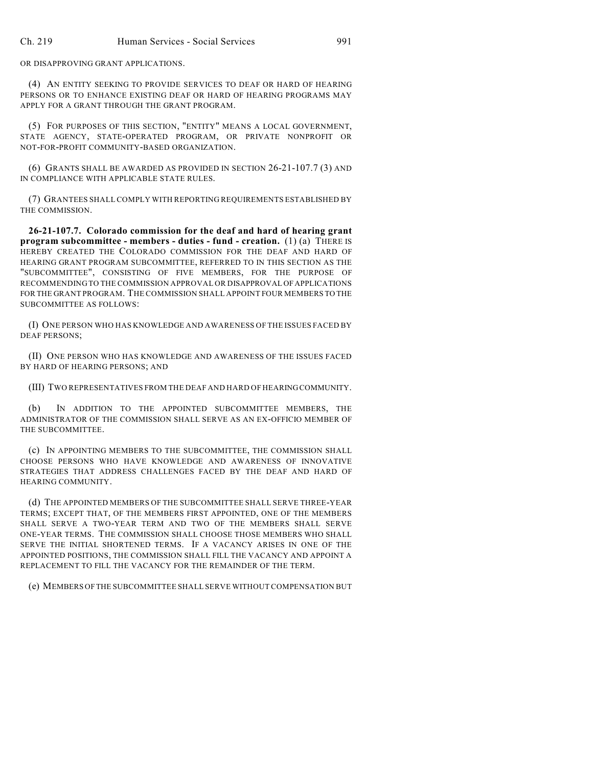OR DISAPPROVING GRANT APPLICATIONS.

(4) AN ENTITY SEEKING TO PROVIDE SERVICES TO DEAF OR HARD OF HEARING PERSONS OR TO ENHANCE EXISTING DEAF OR HARD OF HEARING PROGRAMS MAY APPLY FOR A GRANT THROUGH THE GRANT PROGRAM.

(5) FOR PURPOSES OF THIS SECTION, "ENTITY" MEANS A LOCAL GOVERNMENT, STATE AGENCY, STATE-OPERATED PROGRAM, OR PRIVATE NONPROFIT OR NOT-FOR-PROFIT COMMUNITY-BASED ORGANIZATION.

(6) GRANTS SHALL BE AWARDED AS PROVIDED IN SECTION 26-21-107.7 (3) AND IN COMPLIANCE WITH APPLICABLE STATE RULES.

(7) GRANTEES SHALL COMPLY WITH REPORTING REQUIREMENTS ESTABLISHED BY THE COMMISSION.

**26-21-107.7. Colorado commission for the deaf and hard of hearing grant program subcommittee - members - duties - fund - creation.** (1) (a) THERE IS HEREBY CREATED THE COLORADO COMMISSION FOR THE DEAF AND HARD OF HEARING GRANT PROGRAM SUBCOMMITTEE, REFERRED TO IN THIS SECTION AS THE "SUBCOMMITTEE", CONSISTING OF FIVE MEMBERS, FOR THE PURPOSE OF RECOMMENDING TO THE COMMISSION APPROVAL OR DISAPPROVAL OF APPLICATIONS FOR THE GRANT PROGRAM. THE COMMISSION SHALL APPOINT FOUR MEMBERS TO THE SUBCOMMITTEE AS FOLLOWS:

(I) ONE PERSON WHO HAS KNOWLEDGE AND AWARENESS OF THE ISSUES FACED BY DEAF PERSONS;

(II) ONE PERSON WHO HAS KNOWLEDGE AND AWARENESS OF THE ISSUES FACED BY HARD OF HEARING PERSONS; AND

(III) TWO REPRESENTATIVES FROM THE DEAF AND HARD OF HEARING COMMUNITY.

IN ADDITION TO THE APPOINTED SUBCOMMITTEE MEMBERS, THE ADMINISTRATOR OF THE COMMISSION SHALL SERVE AS AN EX-OFFICIO MEMBER OF THE SUBCOMMITTEE.

(c) IN APPOINTING MEMBERS TO THE SUBCOMMITTEE, THE COMMISSION SHALL CHOOSE PERSONS WHO HAVE KNOWLEDGE AND AWARENESS OF INNOVATIVE STRATEGIES THAT ADDRESS CHALLENGES FACED BY THE DEAF AND HARD OF HEARING COMMUNITY.

(d) THE APPOINTED MEMBERS OF THE SUBCOMMITTEE SHALL SERVE THREE-YEAR TERMS; EXCEPT THAT, OF THE MEMBERS FIRST APPOINTED, ONE OF THE MEMBERS SHALL SERVE A TWO-YEAR TERM AND TWO OF THE MEMBERS SHALL SERVE ONE-YEAR TERMS. THE COMMISSION SHALL CHOOSE THOSE MEMBERS WHO SHALL SERVE THE INITIAL SHORTENED TERMS. IF A VACANCY ARISES IN ONE OF THE APPOINTED POSITIONS, THE COMMISSION SHALL FILL THE VACANCY AND APPOINT A REPLACEMENT TO FILL THE VACANCY FOR THE REMAINDER OF THE TERM.

(e) MEMBERS OF THE SUBCOMMITTEE SHALL SERVE WITHOUT COMPENSATION BUT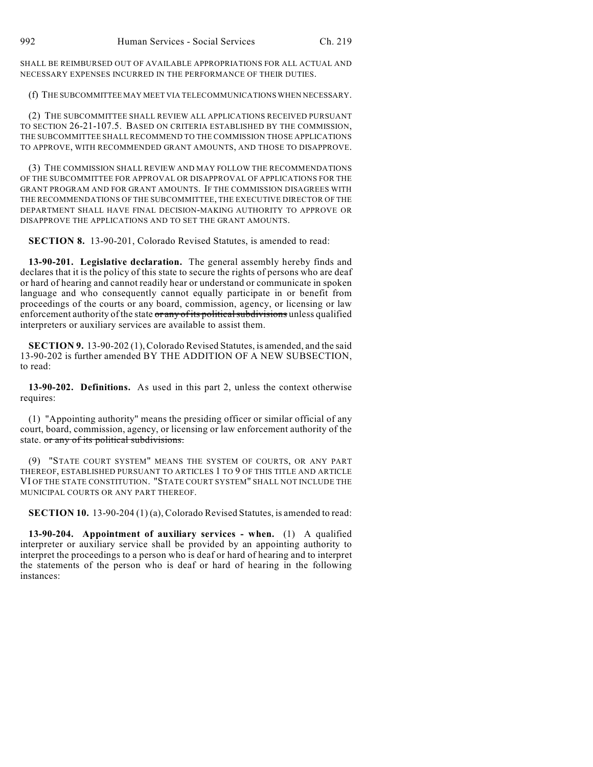SHALL BE REIMBURSED OUT OF AVAILABLE APPROPRIATIONS FOR ALL ACTUAL AND NECESSARY EXPENSES INCURRED IN THE PERFORMANCE OF THEIR DUTIES.

(f) THE SUBCOMMITTEE MAY MEET VIA TELECOMMUNICATIONS WHEN NECESSARY.

(2) THE SUBCOMMITTEE SHALL REVIEW ALL APPLICATIONS RECEIVED PURSUANT TO SECTION 26-21-107.5. BASED ON CRITERIA ESTABLISHED BY THE COMMISSION, THE SUBCOMMITTEE SHALL RECOMMEND TO THE COMMISSION THOSE APPLICATIONS TO APPROVE, WITH RECOMMENDED GRANT AMOUNTS, AND THOSE TO DISAPPROVE.

(3) THE COMMISSION SHALL REVIEW AND MAY FOLLOW THE RECOMMENDATIONS OF THE SUBCOMMITTEE FOR APPROVAL OR DISAPPROVAL OF APPLICATIONS FOR THE GRANT PROGRAM AND FOR GRANT AMOUNTS. IF THE COMMISSION DISAGREES WITH THE RECOMMENDATIONS OF THE SUBCOMMITTEE, THE EXECUTIVE DIRECTOR OF THE DEPARTMENT SHALL HAVE FINAL DECISION-MAKING AUTHORITY TO APPROVE OR DISAPPROVE THE APPLICATIONS AND TO SET THE GRANT AMOUNTS.

**SECTION 8.** 13-90-201, Colorado Revised Statutes, is amended to read:

**13-90-201. Legislative declaration.** The general assembly hereby finds and declares that it is the policy of this state to secure the rights of persons who are deaf or hard of hearing and cannot readily hear or understand or communicate in spoken language and who consequently cannot equally participate in or benefit from proceedings of the courts or any board, commission, agency, or licensing or law enforcement authority of the state or any of its political subdivisions unless qualified interpreters or auxiliary services are available to assist them.

**SECTION 9.** 13-90-202 (1), Colorado Revised Statutes, is amended, and the said 13-90-202 is further amended BY THE ADDITION OF A NEW SUBSECTION, to read:

**13-90-202. Definitions.** As used in this part 2, unless the context otherwise requires:

(1) "Appointing authority" means the presiding officer or similar official of any court, board, commission, agency, or licensing or law enforcement authority of the state. or any of its political subdivisions.

(9) "STATE COURT SYSTEM" MEANS THE SYSTEM OF COURTS, OR ANY PART THEREOF, ESTABLISHED PURSUANT TO ARTICLES 1 TO 9 OF THIS TITLE AND ARTICLE VI OF THE STATE CONSTITUTION. "STATE COURT SYSTEM" SHALL NOT INCLUDE THE MUNICIPAL COURTS OR ANY PART THEREOF.

**SECTION 10.** 13-90-204 (1) (a), Colorado Revised Statutes, is amended to read:

**13-90-204. Appointment of auxiliary services - when.** (1) A qualified interpreter or auxiliary service shall be provided by an appointing authority to interpret the proceedings to a person who is deaf or hard of hearing and to interpret the statements of the person who is deaf or hard of hearing in the following instances: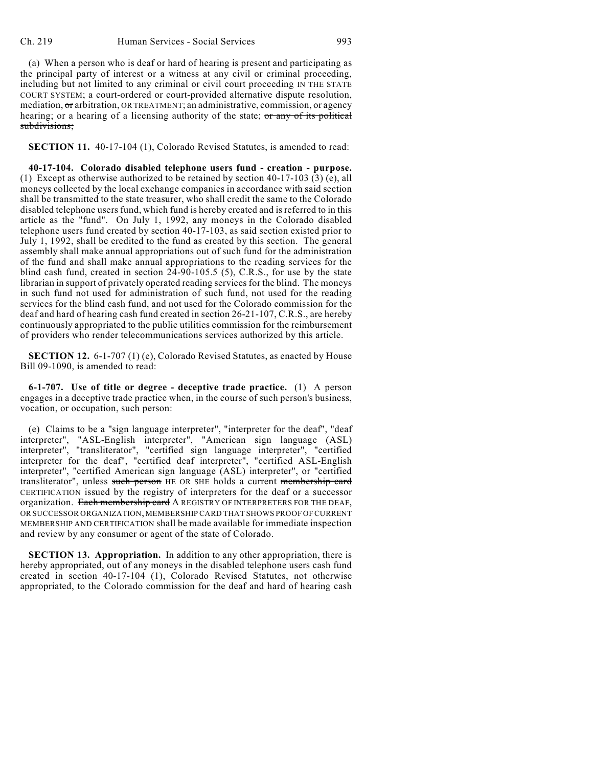(a) When a person who is deaf or hard of hearing is present and participating as the principal party of interest or a witness at any civil or criminal proceeding, including but not limited to any criminal or civil court proceeding IN THE STATE COURT SYSTEM; a court-ordered or court-provided alternative dispute resolution, mediation,  $\sigma$  arbitration, OR TREATMENT; an administrative, commission, or agency hearing; or a hearing of a licensing authority of the state; or any of its political subdivisions;

**SECTION 11.** 40-17-104 (1), Colorado Revised Statutes, is amended to read:

**40-17-104. Colorado disabled telephone users fund - creation - purpose.** (1) Except as otherwise authorized to be retained by section 40-17-103 (3) (e), all moneys collected by the local exchange companies in accordance with said section shall be transmitted to the state treasurer, who shall credit the same to the Colorado disabled telephone users fund, which fund is hereby created and is referred to in this article as the "fund". On July 1, 1992, any moneys in the Colorado disabled telephone users fund created by section 40-17-103, as said section existed prior to July 1, 1992, shall be credited to the fund as created by this section. The general assembly shall make annual appropriations out of such fund for the administration of the fund and shall make annual appropriations to the reading services for the blind cash fund, created in section  $24-90-105.5$  (5), C.R.S., for use by the state librarian in support of privately operated reading services for the blind. The moneys in such fund not used for administration of such fund, not used for the reading services for the blind cash fund, and not used for the Colorado commission for the deaf and hard of hearing cash fund created in section 26-21-107, C.R.S., are hereby continuously appropriated to the public utilities commission for the reimbursement of providers who render telecommunications services authorized by this article.

**SECTION 12.** 6-1-707 (1) (e), Colorado Revised Statutes, as enacted by House Bill 09-1090, is amended to read:

**6-1-707. Use of title or degree - deceptive trade practice.** (1) A person engages in a deceptive trade practice when, in the course of such person's business, vocation, or occupation, such person:

(e) Claims to be a "sign language interpreter", "interpreter for the deaf", "deaf interpreter", "ASL-English interpreter", "American sign language (ASL) interpreter", "transliterator", "certified sign language interpreter", "certified interpreter for the deaf", "certified deaf interpreter", "certified ASL-English interpreter", "certified American sign language (ASL) interpreter", or "certified transliterator", unless such person HE OR SHE holds a current membership card CERTIFICATION issued by the registry of interpreters for the deaf or a successor organization. Each membership card A REGISTRY OF INTERPRETERS FOR THE DEAF, OR SUCCESSOR ORGANIZATION, MEMBERSHIP CARD THAT SHOWS PROOF OF CURRENT MEMBERSHIP AND CERTIFICATION shall be made available for immediate inspection and review by any consumer or agent of the state of Colorado.

**SECTION 13. Appropriation.** In addition to any other appropriation, there is hereby appropriated, out of any moneys in the disabled telephone users cash fund created in section 40-17-104 (1), Colorado Revised Statutes, not otherwise appropriated, to the Colorado commission for the deaf and hard of hearing cash